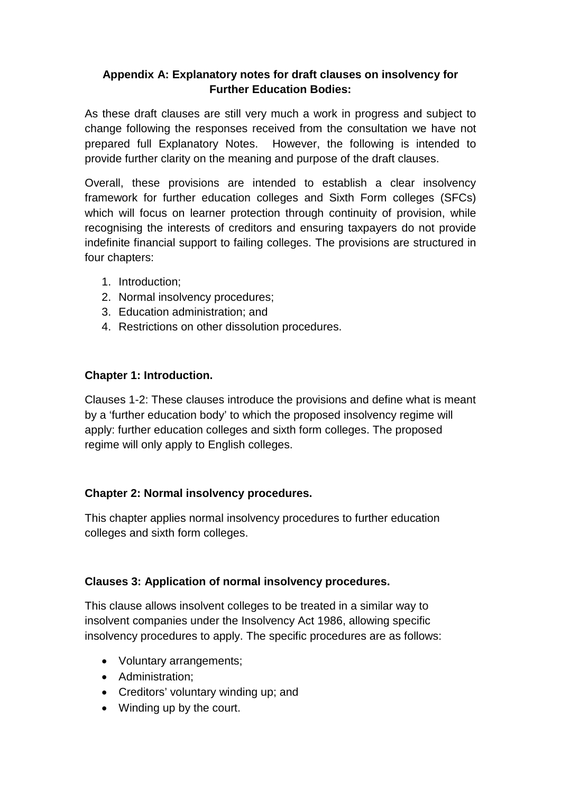# **Appendix A: Explanatory notes for draft clauses on insolvency for Further Education Bodies:**

As these draft clauses are still very much a work in progress and subject to change following the responses received from the consultation we have not prepared full Explanatory Notes. However, the following is intended to provide further clarity on the meaning and purpose of the draft clauses.

Overall, these provisions are intended to establish a clear insolvency framework for further education colleges and Sixth Form colleges (SFCs) which will focus on learner protection through continuity of provision, while recognising the interests of creditors and ensuring taxpayers do not provide indefinite financial support to failing colleges. The provisions are structured in four chapters:

- 1. Introduction;
- 2. Normal insolvency procedures;
- 3. Education administration; and
- 4. Restrictions on other dissolution procedures.

### **Chapter 1: Introduction.**

Clauses 1-2: These clauses introduce the provisions and define what is meant by a 'further education body' to which the proposed insolvency regime will apply: further education colleges and sixth form colleges. The proposed regime will only apply to English colleges.

### **Chapter 2: Normal insolvency procedures.**

This chapter applies normal insolvency procedures to further education colleges and sixth form colleges.

### **Clauses 3: Application of normal insolvency procedures.**

This clause allows insolvent colleges to be treated in a similar way to insolvent companies under the Insolvency Act 1986, allowing specific insolvency procedures to apply. The specific procedures are as follows:

- Voluntary arrangements;
- Administration;
- Creditors' voluntary winding up; and
- Winding up by the court.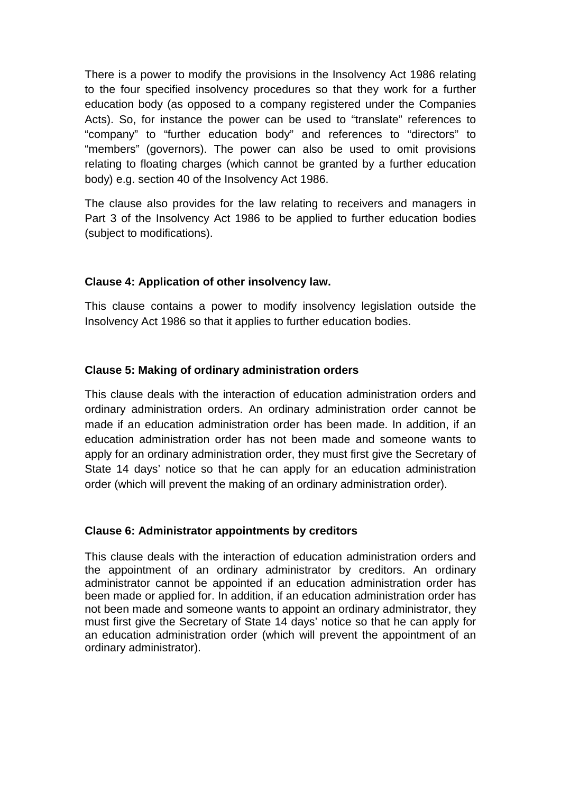There is a power to modify the provisions in the Insolvency Act 1986 relating to the four specified insolvency procedures so that they work for a further education body (as opposed to a company registered under the Companies Acts). So, for instance the power can be used to "translate" references to "company" to "further education body" and references to "directors" to "members" (governors). The power can also be used to omit provisions relating to floating charges (which cannot be granted by a further education body) e.g. section 40 of the Insolvency Act 1986.

The clause also provides for the law relating to receivers and managers in Part 3 of the Insolvency Act 1986 to be applied to further education bodies (subject to modifications).

#### **Clause 4: Application of other insolvency law.**

This clause contains a power to modify insolvency legislation outside the Insolvency Act 1986 so that it applies to further education bodies.

#### **Clause 5: Making of ordinary administration orders**

This clause deals with the interaction of education administration orders and ordinary administration orders. An ordinary administration order cannot be made if an education administration order has been made. In addition, if an education administration order has not been made and someone wants to apply for an ordinary administration order, they must first give the Secretary of State 14 days' notice so that he can apply for an education administration order (which will prevent the making of an ordinary administration order).

#### **Clause 6: Administrator appointments by creditors**

This clause deals with the interaction of education administration orders and the appointment of an ordinary administrator by creditors. An ordinary administrator cannot be appointed if an education administration order has been made or applied for. In addition, if an education administration order has not been made and someone wants to appoint an ordinary administrator, they must first give the Secretary of State 14 days' notice so that he can apply for an education administration order (which will prevent the appointment of an ordinary administrator).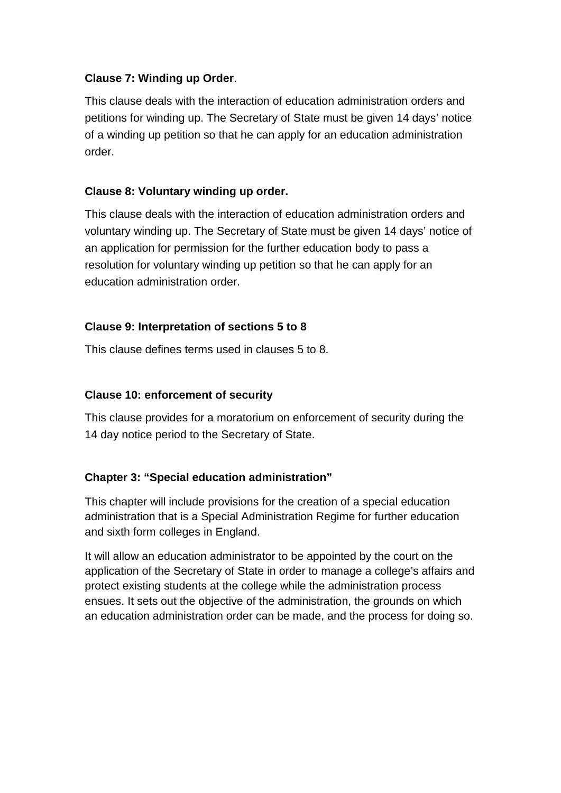### **Clause 7: Winding up Order**.

This clause deals with the interaction of education administration orders and petitions for winding up. The Secretary of State must be given 14 days' notice of a winding up petition so that he can apply for an education administration order.

## **Clause 8: Voluntary winding up order.**

This clause deals with the interaction of education administration orders and voluntary winding up. The Secretary of State must be given 14 days' notice of an application for permission for the further education body to pass a resolution for voluntary winding up petition so that he can apply for an education administration order.

# **Clause 9: Interpretation of sections 5 to 8**

This clause defines terms used in clauses 5 to 8.

# **Clause 10: enforcement of security**

This clause provides for a moratorium on enforcement of security during the 14 day notice period to the Secretary of State.

### **Chapter 3: "Special education administration"**

This chapter will include provisions for the creation of a special education administration that is a Special Administration Regime for further education and sixth form colleges in England.

It will allow an education administrator to be appointed by the court on the application of the Secretary of State in order to manage a college's affairs and protect existing students at the college while the administration process ensues. It sets out the objective of the administration, the grounds on which an education administration order can be made, and the process for doing so.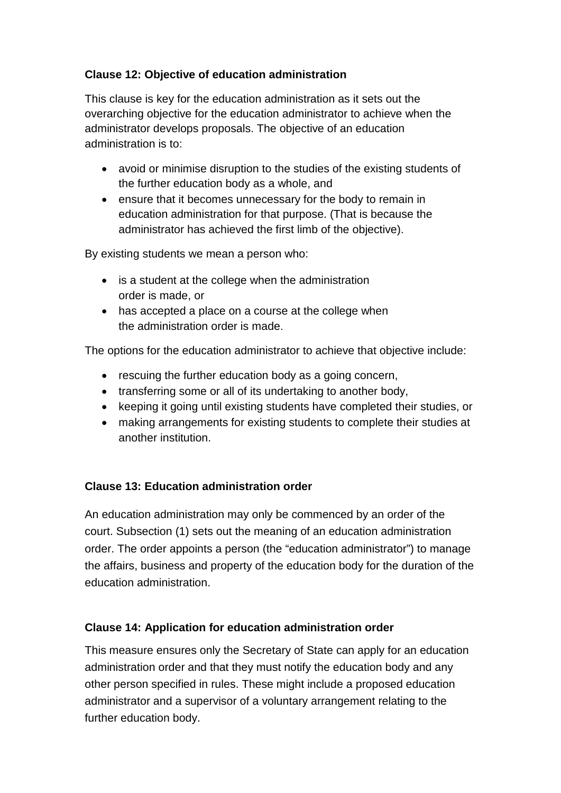# **Clause 12: Objective of education administration**

This clause is key for the education administration as it sets out the overarching objective for the education administrator to achieve when the administrator develops proposals. The objective of an education administration is to:

- avoid or minimise disruption to the studies of the existing students of the further education body as a whole, and
- ensure that it becomes unnecessary for the body to remain in education administration for that purpose. (That is because the administrator has achieved the first limb of the objective).

By existing students we mean a person who:

- is a student at the college when the administration order is made, or
- has accepted a place on a course at the college when the administration order is made.

The options for the education administrator to achieve that objective include:

- rescuing the further education body as a going concern,
- transferring some or all of its undertaking to another body,
- keeping it going until existing students have completed their studies, or
- making arrangements for existing students to complete their studies at another institution.

# **Clause 13: Education administration order**

An education administration may only be commenced by an order of the court. Subsection (1) sets out the meaning of an education administration order. The order appoints a person (the "education administrator") to manage the affairs, business and property of the education body for the duration of the education administration.

# **Clause 14: Application for education administration order**

This measure ensures only the Secretary of State can apply for an education administration order and that they must notify the education body and any other person specified in rules. These might include a proposed education administrator and a supervisor of a voluntary arrangement relating to the further education body.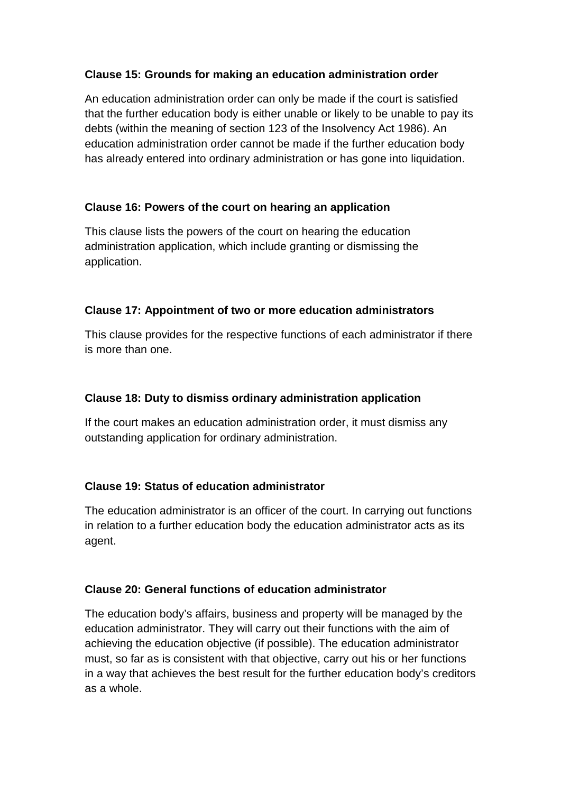## **Clause 15: Grounds for making an education administration order**

An education administration order can only be made if the court is satisfied that the further education body is either unable or likely to be unable to pay its debts (within the meaning of section 123 of the Insolvency Act 1986). An education administration order cannot be made if the further education body has already entered into ordinary administration or has gone into liquidation.

# **Clause 16: Powers of the court on hearing an application**

This clause lists the powers of the court on hearing the education administration application, which include granting or dismissing the application.

### **Clause 17: Appointment of two or more education administrators**

This clause provides for the respective functions of each administrator if there is more than one.

### **Clause 18: Duty to dismiss ordinary administration application**

If the court makes an education administration order, it must dismiss any outstanding application for ordinary administration.

### **Clause 19: Status of education administrator**

The education administrator is an officer of the court. In carrying out functions in relation to a further education body the education administrator acts as its agent.

### **Clause 20: General functions of education administrator**

The education body's affairs, business and property will be managed by the education administrator. They will carry out their functions with the aim of achieving the education objective (if possible). The education administrator must, so far as is consistent with that objective, carry out his or her functions in a way that achieves the best result for the further education body's creditors as a whole.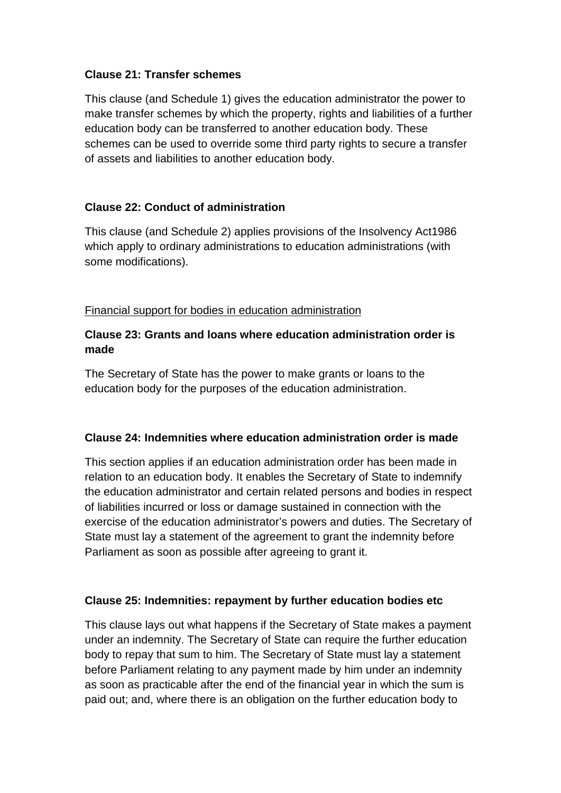#### **Clause 21: Transfer schemes**

This clause (and Schedule 1) gives the education administrator the power to make transfer schemes by which the property, rights and liabilities of a further education body can be transferred to another education body. These schemes can be used to override some third party rights to secure a transfer of assets and liabilities to another education body.

### **Clause 22: Conduct of administration**

This clause (and Schedule 2) applies provisions of the Insolvency Act1986 which apply to ordinary administrations to education administrations (with some modifications).

#### Financial support for bodies in education administration

### **Clause 23: Grants and loans where education administration order is made**

The Secretary of State has the power to make grants or loans to the education body for the purposes of the education administration.

#### **Clause 24: Indemnities where education administration order is made**

This section applies if an education administration order has been made in relation to an education body. It enables the Secretary of State to indemnify the education administrator and certain related persons and bodies in respect of liabilities incurred or loss or damage sustained in connection with the exercise of the education administrator's powers and duties. The Secretary of State must lay a statement of the agreement to grant the indemnity before Parliament as soon as possible after agreeing to grant it.

#### **Clause 25: Indemnities: repayment by further education bodies etc**

This clause lays out what happens if the Secretary of State makes a payment under an indemnity. The Secretary of State can require the further education body to repay that sum to him. The Secretary of State must lay a statement before Parliament relating to any payment made by him under an indemnity as soon as practicable after the end of the financial year in which the sum is paid out; and, where there is an obligation on the further education body to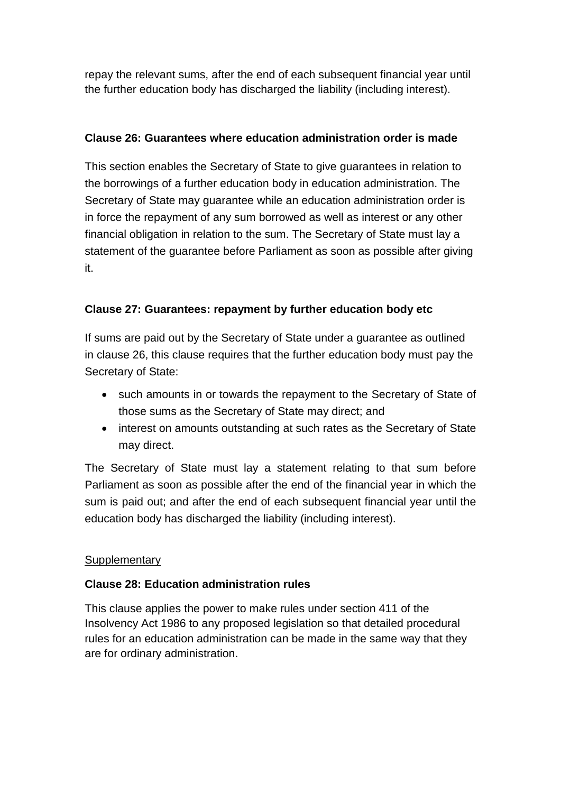repay the relevant sums, after the end of each subsequent financial year until the further education body has discharged the liability (including interest).

# **Clause 26: Guarantees where education administration order is made**

This section enables the Secretary of State to give guarantees in relation to the borrowings of a further education body in education administration. The Secretary of State may guarantee while an education administration order is in force the repayment of any sum borrowed as well as interest or any other financial obligation in relation to the sum. The Secretary of State must lay a statement of the guarantee before Parliament as soon as possible after giving it.

# **Clause 27: Guarantees: repayment by further education body etc**

If sums are paid out by the Secretary of State under a guarantee as outlined in clause 26, this clause requires that the further education body must pay the Secretary of State:

- such amounts in or towards the repayment to the Secretary of State of those sums as the Secretary of State may direct; and
- interest on amounts outstanding at such rates as the Secretary of State may direct.

The Secretary of State must lay a statement relating to that sum before Parliament as soon as possible after the end of the financial year in which the sum is paid out; and after the end of each subsequent financial year until the education body has discharged the liability (including interest).

### **Supplementary**

### **Clause 28: Education administration rules**

This clause applies the power to make rules under section 411 of the Insolvency Act 1986 to any proposed legislation so that detailed procedural rules for an education administration can be made in the same way that they are for ordinary administration.